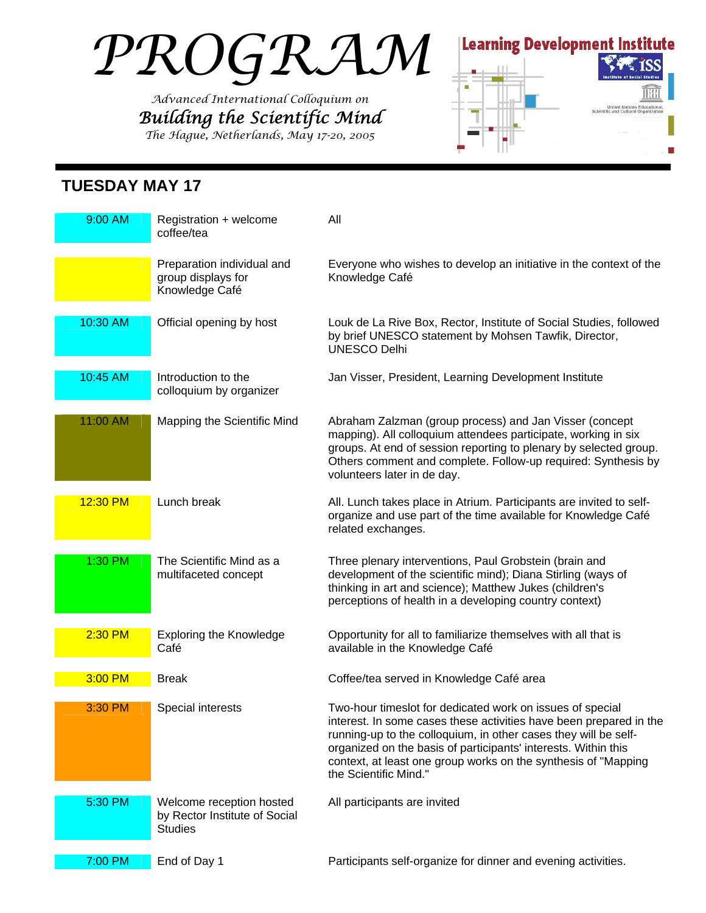# *PROGRAM*

*Advanced International Colloquium on Building the Scientific Mind The Hague, Netherlands, May 17-20, 2005* 



### **TUESDAY MAY 17**

| 9:00 AM  | Registration + welcome<br>coffee/tea                                        | All                                                                                                                                                                                                                                                                                                                                                             |
|----------|-----------------------------------------------------------------------------|-----------------------------------------------------------------------------------------------------------------------------------------------------------------------------------------------------------------------------------------------------------------------------------------------------------------------------------------------------------------|
|          | Preparation individual and<br>group displays for<br>Knowledge Café          | Everyone who wishes to develop an initiative in the context of the<br>Knowledge Café                                                                                                                                                                                                                                                                            |
| 10:30 AM | Official opening by host                                                    | Louk de La Rive Box, Rector, Institute of Social Studies, followed<br>by brief UNESCO statement by Mohsen Tawfik, Director,<br><b>UNESCO Delhi</b>                                                                                                                                                                                                              |
| 10:45 AM | Introduction to the<br>colloquium by organizer                              | Jan Visser, President, Learning Development Institute                                                                                                                                                                                                                                                                                                           |
| 11:00 AM | Mapping the Scientific Mind                                                 | Abraham Zalzman (group process) and Jan Visser (concept<br>mapping). All colloquium attendees participate, working in six<br>groups. At end of session reporting to plenary by selected group.<br>Others comment and complete. Follow-up required: Synthesis by<br>volunteers later in de day.                                                                  |
| 12:30 PM | Lunch break                                                                 | All. Lunch takes place in Atrium. Participants are invited to self-<br>organize and use part of the time available for Knowledge Café<br>related exchanges.                                                                                                                                                                                                     |
| 1:30 PM  | The Scientific Mind as a<br>multifaceted concept                            | Three plenary interventions, Paul Grobstein (brain and<br>development of the scientific mind); Diana Stirling (ways of<br>thinking in art and science); Matthew Jukes (children's<br>perceptions of health in a developing country context)                                                                                                                     |
| 2:30 PM  | <b>Exploring the Knowledge</b><br>Café                                      | Opportunity for all to familiarize themselves with all that is<br>available in the Knowledge Café                                                                                                                                                                                                                                                               |
| 3:00 PM  | <b>Break</b>                                                                | Coffee/tea served in Knowledge Café area                                                                                                                                                                                                                                                                                                                        |
| 3:30 PM  | Special interests                                                           | Two-hour timeslot for dedicated work on issues of special<br>interest. In some cases these activities have been prepared in the<br>running-up to the colloquium, in other cases they will be self-<br>organized on the basis of participants' interests. Within this<br>context, at least one group works on the synthesis of "Mapping<br>the Scientific Mind." |
| 5:30 PM  | Welcome reception hosted<br>by Rector Institute of Social<br><b>Studies</b> | All participants are invited                                                                                                                                                                                                                                                                                                                                    |
| 7:00 PM  | End of Day 1                                                                | Participants self-organize for dinner and evening activities.                                                                                                                                                                                                                                                                                                   |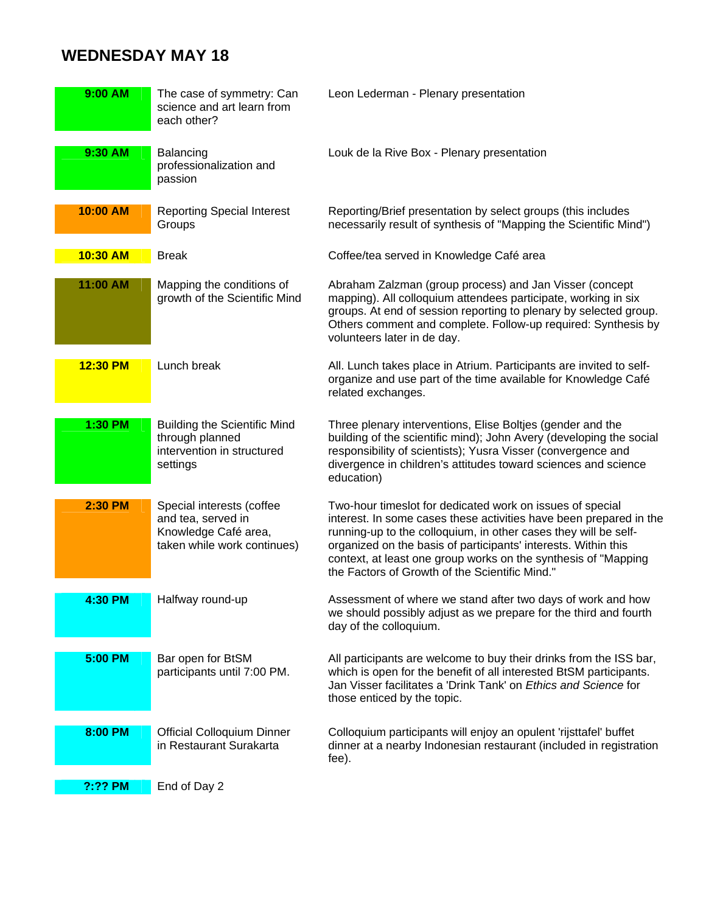## **WEDNESDAY MAY 18**

| 9:00 AM  | The case of symmetry: Can<br>science and art learn from<br>each other?                                 | Leon Lederman - Plenary presentation                                                                                                                                                                                                                                                                                                                                                     |
|----------|--------------------------------------------------------------------------------------------------------|------------------------------------------------------------------------------------------------------------------------------------------------------------------------------------------------------------------------------------------------------------------------------------------------------------------------------------------------------------------------------------------|
| 9:30 AM  | Balancing<br>professionalization and<br>passion                                                        | Louk de la Rive Box - Plenary presentation                                                                                                                                                                                                                                                                                                                                               |
| 10:00 AM | <b>Reporting Special Interest</b><br>Groups                                                            | Reporting/Brief presentation by select groups (this includes<br>necessarily result of synthesis of "Mapping the Scientific Mind")                                                                                                                                                                                                                                                        |
| 10:30 AM | <b>Break</b>                                                                                           | Coffee/tea served in Knowledge Café area                                                                                                                                                                                                                                                                                                                                                 |
| 11:00 AM | Mapping the conditions of<br>growth of the Scientific Mind                                             | Abraham Zalzman (group process) and Jan Visser (concept<br>mapping). All colloquium attendees participate, working in six<br>groups. At end of session reporting to plenary by selected group.<br>Others comment and complete. Follow-up required: Synthesis by<br>volunteers later in de day.                                                                                           |
| 12:30 PM | Lunch break                                                                                            | All. Lunch takes place in Atrium. Participants are invited to self-<br>organize and use part of the time available for Knowledge Café<br>related exchanges.                                                                                                                                                                                                                              |
| 1:30 PM  | <b>Building the Scientific Mind</b><br>through planned<br>intervention in structured<br>settings       | Three plenary interventions, Elise Boltjes (gender and the<br>building of the scientific mind); John Avery (developing the social<br>responsibility of scientists); Yusra Visser (convergence and<br>divergence in children's attitudes toward sciences and science<br>education)                                                                                                        |
| 2:30 PM  | Special interests (coffee<br>and tea, served in<br>Knowledge Café area,<br>taken while work continues) | Two-hour timeslot for dedicated work on issues of special<br>interest. In some cases these activities have been prepared in the<br>running-up to the colloquium, in other cases they will be self-<br>organized on the basis of participants' interests. Within this<br>context, at least one group works on the synthesis of "Mapping<br>the Factors of Growth of the Scientific Mind." |
| 4:30 PM  | Halfway round-up                                                                                       | Assessment of where we stand after two days of work and how<br>we should possibly adjust as we prepare for the third and fourth<br>day of the colloquium.                                                                                                                                                                                                                                |
| 5:00 PM  | Bar open for BtSM<br>participants until 7:00 PM.                                                       | All participants are welcome to buy their drinks from the ISS bar,<br>which is open for the benefit of all interested BtSM participants.<br>Jan Visser facilitates a 'Drink Tank' on Ethics and Science for<br>those enticed by the topic.                                                                                                                                               |
| 8:00 PM  | <b>Official Colloquium Dinner</b><br>in Restaurant Surakarta                                           | Colloquium participants will enjoy an opulent 'rijsttafel' buffet<br>dinner at a nearby Indonesian restaurant (included in registration<br>fee).                                                                                                                                                                                                                                         |
| ?:?? PM  | End of Day 2                                                                                           |                                                                                                                                                                                                                                                                                                                                                                                          |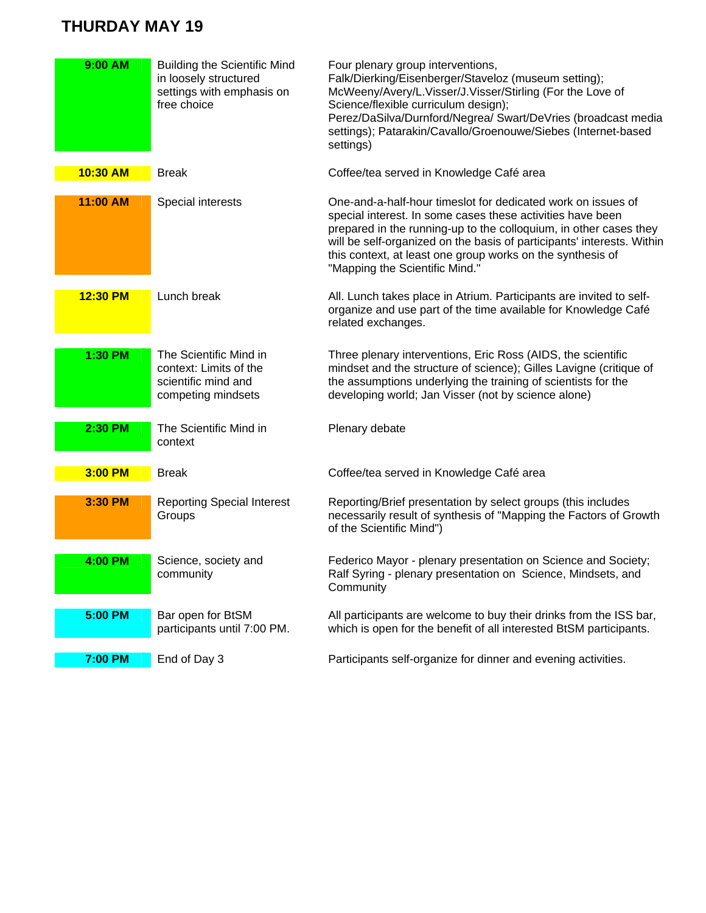#### **THURDAY MAY 19**

| 9:00 AM  | <b>Building the Scientific Mind</b><br>in loosely structured<br>settings with emphasis on<br>free choice | Four plenary group interventions,<br>Falk/Dierking/Eisenberger/Staveloz (museum setting);<br>McWeeny/Avery/L.Visser/J.Visser/Stirling (For the Love of<br>Science/flexible curriculum design);<br>Perez/DaSilva/Durnford/Negrea/ Swart/DeVries (broadcast media<br>settings); Patarakin/Cavallo/Groenouwe/Siebes (Internet-based<br>settings)                             |
|----------|----------------------------------------------------------------------------------------------------------|---------------------------------------------------------------------------------------------------------------------------------------------------------------------------------------------------------------------------------------------------------------------------------------------------------------------------------------------------------------------------|
| 10:30 AM | <b>Break</b>                                                                                             | Coffee/tea served in Knowledge Café area                                                                                                                                                                                                                                                                                                                                  |
| 11:00 AM | Special interests                                                                                        | One-and-a-half-hour timeslot for dedicated work on issues of<br>special interest. In some cases these activities have been<br>prepared in the running-up to the colloquium, in other cases they<br>will be self-organized on the basis of participants' interests. Within<br>this context, at least one group works on the synthesis of<br>"Mapping the Scientific Mind." |
| 12:30 PM | Lunch break                                                                                              | All. Lunch takes place in Atrium. Participants are invited to self-<br>organize and use part of the time available for Knowledge Café<br>related exchanges.                                                                                                                                                                                                               |
| 1:30 PM  | The Scientific Mind in<br>context: Limits of the<br>scientific mind and<br>competing mindsets            | Three plenary interventions, Eric Ross (AIDS, the scientific<br>mindset and the structure of science); Gilles Lavigne (critique of<br>the assumptions underlying the training of scientists for the<br>developing world; Jan Visser (not by science alone)                                                                                                                |
| 2:30 PM  | The Scientific Mind in<br>context                                                                        | Plenary debate                                                                                                                                                                                                                                                                                                                                                            |
| 3:00 PM  | <b>Break</b>                                                                                             | Coffee/tea served in Knowledge Café area                                                                                                                                                                                                                                                                                                                                  |
| 3:30 PM  | <b>Reporting Special Interest</b><br>Groups                                                              | Reporting/Brief presentation by select groups (this includes<br>necessarily result of synthesis of "Mapping the Factors of Growth<br>of the Scientific Mind")                                                                                                                                                                                                             |
| 4:00 PM  | Science, society and<br>community                                                                        | Federico Mayor - plenary presentation on Science and Society;<br>Ralf Syring - plenary presentation on Science, Mindsets, and<br>Community                                                                                                                                                                                                                                |
| 5:00 PM  | Bar open for BtSM<br>participants until 7:00 PM.                                                         | All participants are welcome to buy their drinks from the ISS bar,<br>which is open for the benefit of all interested BtSM participants.                                                                                                                                                                                                                                  |
| 7:00 PM  | End of Day 3                                                                                             | Participants self-organize for dinner and evening activities.                                                                                                                                                                                                                                                                                                             |